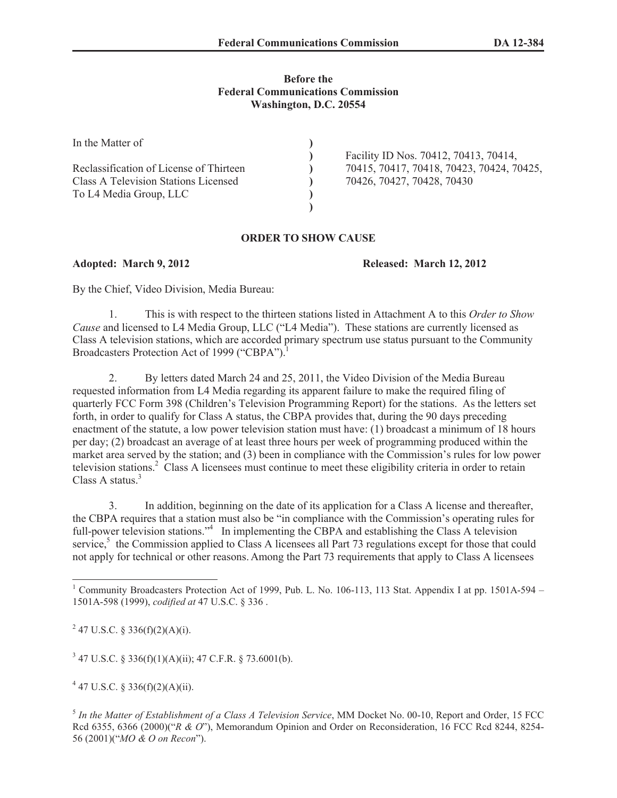## **Before the Federal Communications Commission Washington, D.C. 20554**

| In the Matter of                            |                                           |
|---------------------------------------------|-------------------------------------------|
|                                             | Facility ID Nos. 70412, 70413, 70414,     |
| Reclassification of License of Thirteen     | 70415, 70417, 70418, 70423, 70424, 70425, |
| <b>Class A Television Stations Licensed</b> | 70426, 70427, 70428, 70430                |
| To L4 Media Group, LLC                      |                                           |
|                                             |                                           |

## **ORDER TO SHOW CAUSE**

**Adopted: March 9, 2012 Released: March 12, 2012**

By the Chief, Video Division, Media Bureau:

1. This is with respect to the thirteen stations listed in Attachment A to this *Order to Show Cause* and licensed to L4 Media Group, LLC ("L4 Media"). These stations are currently licensed as Class A television stations, which are accorded primary spectrum use status pursuant to the Community Broadcasters Protection Act of 1999 ("CBPA").<sup>1</sup>

2. By letters dated March 24 and 25, 2011, the Video Division of the Media Bureau requested information from L4 Media regarding its apparent failure to make the required filing of quarterly FCC Form 398 (Children's Television Programming Report) for the stations. As the letters set forth, in order to qualify for Class A status, the CBPA provides that, during the 90 days preceding enactment of the statute, a low power television station must have: (1) broadcast a minimum of 18 hours per day; (2) broadcast an average of at least three hours per week of programming produced within the market area served by the station; and (3) been in compliance with the Commission's rules for low power television stations.<sup>2</sup> Class A licensees must continue to meet these eligibility criteria in order to retain Class A status $^3$ 

3. In addition, beginning on the date of its application for a Class A license and thereafter, the CBPA requires that a station must also be "in compliance with the Commission's operating rules for full-power television stations."<sup>4</sup> In implementing the CBPA and establishing the Class A television service,<sup>5</sup> the Commission applied to Class A licensees all Part 73 regulations except for those that could not apply for technical or other reasons. Among the Part 73 requirements that apply to Class A licensees

<sup>2</sup> 47 U.S.C. § 336(f)(2)(A)(i).

 $347$  U.S.C. § 336(f)(1)(A)(ii); 47 C.F.R. § 73.6001(b).

 $4$  47 U.S.C. § 336(f)(2)(A)(ii).

5 *In the Matter of Establishment of a Class A Television Service*, MM Docket No. 00-10, Report and Order, 15 FCC Rcd 6355, 6366 (2000)("*R & O*"), Memorandum Opinion and Order on Reconsideration, 16 FCC Rcd 8244, 8254- 56 (2001)("*MO & O on Recon*").

<sup>&</sup>lt;sup>1</sup> Community Broadcasters Protection Act of 1999, Pub. L. No. 106-113, 113 Stat. Appendix I at pp. 1501A-594 – 1501A-598 (1999), *codified at* 47 U.S.C. § 336 .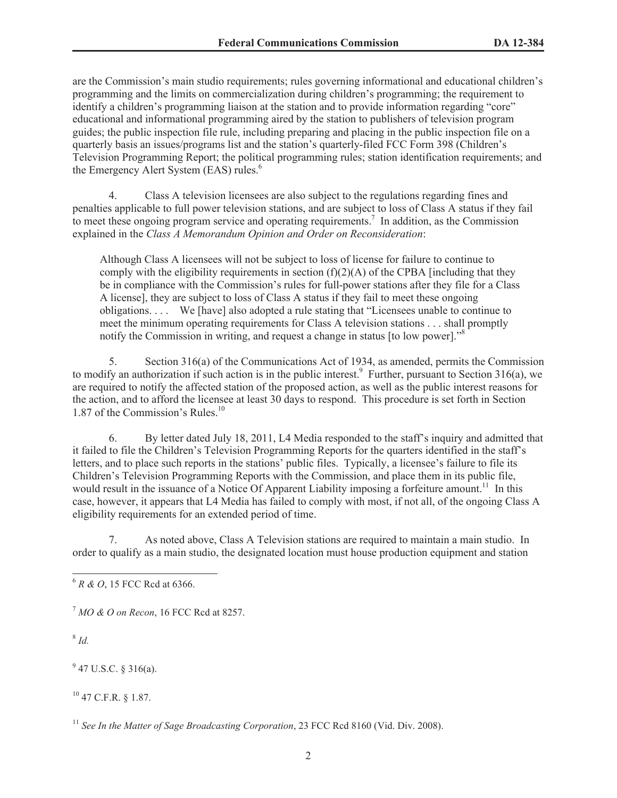are the Commission's main studio requirements; rules governing informational and educational children's programming and the limits on commercialization during children's programming; the requirement to identify a children's programming liaison at the station and to provide information regarding "core" educational and informational programming aired by the station to publishers of television program guides; the public inspection file rule, including preparing and placing in the public inspection file on a quarterly basis an issues/programs list and the station's quarterly-filed FCC Form 398 (Children's Television Programming Report; the political programming rules; station identification requirements; and the Emergency Alert System (EAS) rules.<sup>6</sup>

4. Class A television licensees are also subject to the regulations regarding fines and penalties applicable to full power television stations, and are subject to loss of Class A status if they fail to meet these ongoing program service and operating requirements.<sup>7</sup> In addition, as the Commission explained in the *Class A Memorandum Opinion and Order on Reconsideration*:

Although Class A licensees will not be subject to loss of license for failure to continue to comply with the eligibility requirements in section  $(f)(2)(A)$  of the CPBA [including that they be in compliance with the Commission's rules for full-power stations after they file for a Class A license], they are subject to loss of Class A status if they fail to meet these ongoing obligations. . . . We [have] also adopted a rule stating that "Licensees unable to continue to meet the minimum operating requirements for Class A television stations . . . shall promptly notify the Commission in writing, and request a change in status [to low power].<sup>58</sup>

5. Section 316(a) of the Communications Act of 1934, as amended, permits the Commission to modify an authorization if such action is in the public interest.<sup>9</sup> Further, pursuant to Section 316(a), we are required to notify the affected station of the proposed action, as well as the public interest reasons for the action, and to afford the licensee at least 30 days to respond. This procedure is set forth in Section 1.87 of the Commission's Rules.<sup>10</sup>

6. By letter dated July 18, 2011, L4 Media responded to the staff's inquiry and admitted that it failed to file the Children's Television Programming Reports for the quarters identified in the staff's letters, and to place such reports in the stations' public files. Typically, a licensee's failure to file its Children's Television Programming Reports with the Commission, and place them in its public file, would result in the issuance of a Notice Of Apparent Liability imposing a forfeiture amount.<sup>11</sup> In this case, however, it appears that L4 Media has failed to comply with most, if not all, of the ongoing Class A eligibility requirements for an extended period of time.

7. As noted above, Class A Television stations are required to maintain a main studio. In order to qualify as a main studio, the designated location must house production equipment and station

8 *Id.*

 $9$  47 U.S.C. § 316(a).

 $10$  47 C.F.R. § 1.87.

<sup>6</sup> *R & O*, 15 FCC Rcd at 6366.

<sup>7</sup> *MO & O on Recon*, 16 FCC Rcd at 8257.

<sup>&</sup>lt;sup>11</sup> See In the Matter of Sage Broadcasting Corporation, 23 FCC Rcd 8160 (Vid. Div. 2008).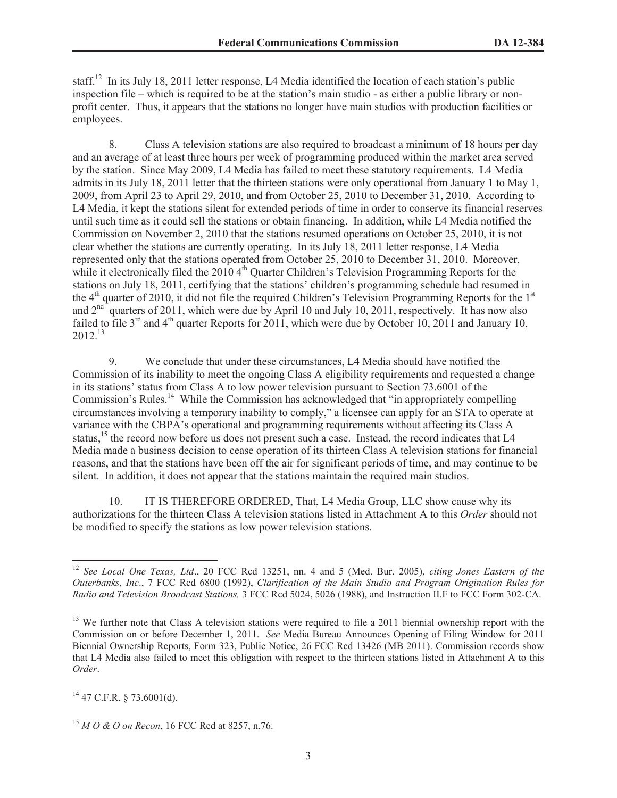staff.<sup>12</sup> In its July 18, 2011 letter response, L4 Media identified the location of each station's public inspection file – which is required to be at the station's main studio - as either a public library or nonprofit center. Thus, it appears that the stations no longer have main studios with production facilities or employees.

8. Class A television stations are also required to broadcast a minimum of 18 hours per day and an average of at least three hours per week of programming produced within the market area served by the station. Since May 2009, L4 Media has failed to meet these statutory requirements. L4 Media admits in its July 18, 2011 letter that the thirteen stations were only operational from January 1 to May 1, 2009, from April 23 to April 29, 2010, and from October 25, 2010 to December 31, 2010. According to L4 Media, it kept the stations silent for extended periods of time in order to conserve its financial reserves until such time as it could sell the stations or obtain financing. In addition, while L4 Media notified the Commission on November 2, 2010 that the stations resumed operations on October 25, 2010, it is not clear whether the stations are currently operating. In its July 18, 2011 letter response, L4 Media represented only that the stations operated from October 25, 2010 to December 31, 2010. Moreover, while it electronically filed the 2010 4<sup>th</sup> Quarter Children's Television Programming Reports for the stations on July 18, 2011, certifying that the stations' children's programming schedule had resumed in the  $4<sup>th</sup>$  quarter of 2010, it did not file the required Children's Television Programming Reports for the  $1<sup>st</sup>$ and  $2<sup>nd</sup>$  quarters of 2011, which were due by April 10 and July 10, 2011, respectively. It has now also failed to file  $3<sup>rd</sup>$  and  $4<sup>th</sup>$  quarter Reports for 2011, which were due by October 10, 2011 and January 10,  $2012^{13}$ 

9. We conclude that under these circumstances, L4 Media should have notified the Commission of its inability to meet the ongoing Class A eligibility requirements and requested a change in its stations' status from Class A to low power television pursuant to Section 73.6001 of the Commission's Rules.<sup>14</sup> While the Commission has acknowledged that "in appropriately compelling circumstances involving a temporary inability to comply," a licensee can apply for an STA to operate at variance with the CBPA's operational and programming requirements without affecting its Class A status,<sup>15</sup> the record now before us does not present such a case. Instead, the record indicates that L4 Media made a business decision to cease operation of its thirteen Class A television stations for financial reasons, and that the stations have been off the air for significant periods of time, and may continue to be silent. In addition, it does not appear that the stations maintain the required main studios.

10. IT IS THEREFORE ORDERED, That, L4 Media Group, LLC show cause why its authorizations for the thirteen Class A television stations listed in Attachment A to this *Order* should not be modified to specify the stations as low power television stations.

 $^{14}$  47 C.F.R. § 73.6001(d).

<sup>12</sup> *See Local One Texas, Ltd*., 20 FCC Rcd 13251, nn. 4 and 5 (Med. Bur. 2005), *citing Jones Eastern of the Outerbanks, Inc*., 7 FCC Rcd 6800 (1992), *Clarification of the Main Studio and Program Origination Rules for Radio and Television Broadcast Stations,* 3 FCC Rcd 5024, 5026 (1988), and Instruction II.F to FCC Form 302-CA.

 $13$  We further note that Class A television stations were required to file a 2011 biennial ownership report with the Commission on or before December 1, 2011. *See* Media Bureau Announces Opening of Filing Window for 2011 Biennial Ownership Reports, Form 323, Public Notice, 26 FCC Rcd 13426 (MB 2011). Commission records show that L4 Media also failed to meet this obligation with respect to the thirteen stations listed in Attachment A to this *Order*.

<sup>15</sup> *M O & O on Recon*, 16 FCC Rcd at 8257, n.76.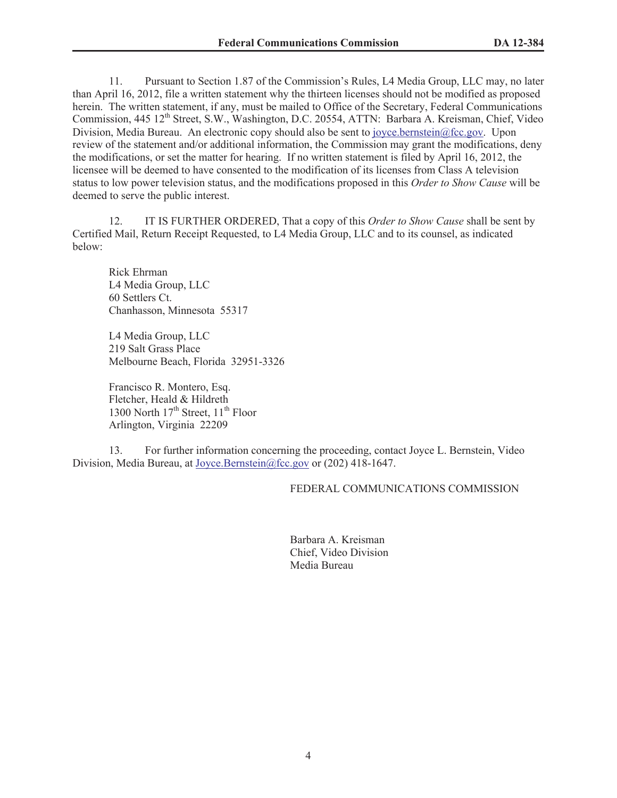11. Pursuant to Section 1.87 of the Commission's Rules, L4 Media Group, LLC may, no later than April 16, 2012, file a written statement why the thirteen licenses should not be modified as proposed herein. The written statement, if any, must be mailed to Office of the Secretary, Federal Communications Commission, 445 12<sup>th</sup> Street, S.W., Washington, D.C. 20554, ATTN: Barbara A. Kreisman, Chief, Video Division, Media Bureau. An electronic copy should also be sent to joyce.bernstein@fcc.gov. Upon review of the statement and/or additional information, the Commission may grant the modifications, deny the modifications, or set the matter for hearing. If no written statement is filed by April 16, 2012, the licensee will be deemed to have consented to the modification of its licenses from Class A television status to low power television status, and the modifications proposed in this *Order to Show Cause* will be deemed to serve the public interest.

12. IT IS FURTHER ORDERED, That a copy of this *Order to Show Cause* shall be sent by Certified Mail, Return Receipt Requested, to L4 Media Group, LLC and to its counsel, as indicated below:

Rick Ehrman L4 Media Group, LLC 60 Settlers Ct. Chanhasson, Minnesota 55317

L4 Media Group, LLC 219 Salt Grass Place Melbourne Beach, Florida 32951-3326

Francisco R. Montero, Esq. Fletcher, Heald & Hildreth 1300 North  $17<sup>th</sup>$  Street,  $11<sup>th</sup>$  Floor Arlington, Virginia 22209

13. For further information concerning the proceeding, contact Joyce L. Bernstein, Video Division, Media Bureau, at Joyce.Bernstein@fcc.gov or (202) 418-1647.

## FEDERAL COMMUNICATIONS COMMISSION

Barbara A. Kreisman Chief, Video Division Media Bureau